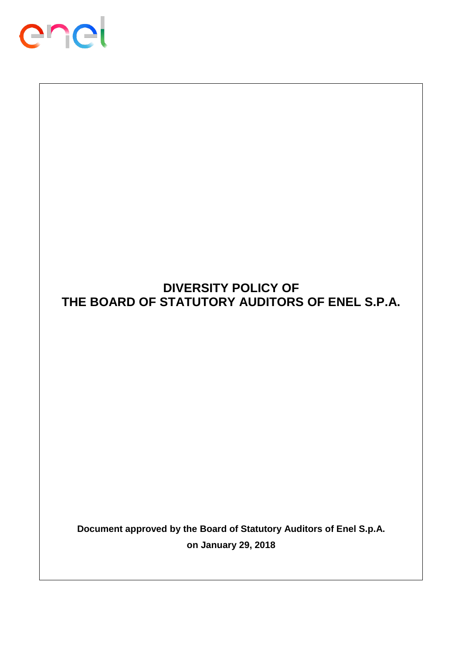

# **DIVERSITY POLICY OF THE BOARD OF STATUTORY AUDITORS OF ENEL S.P.A.**

**Document approved by the Board of Statutory Auditors of Enel S.p.A. on January 29, 2018**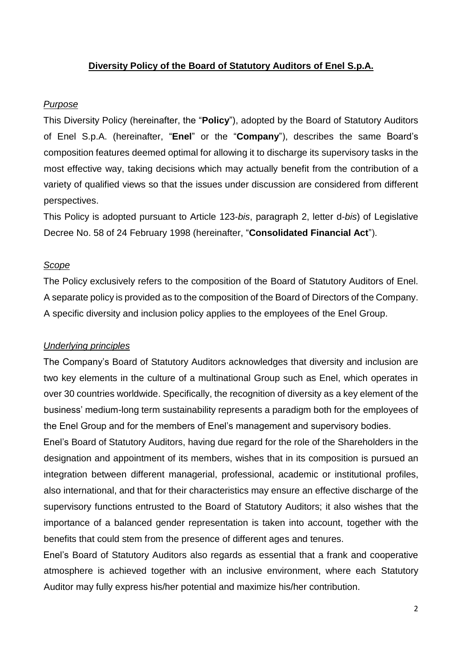## **Diversity Policy of the Board of Statutory Auditors of Enel S.p.A.**

## *Purpose*

This Diversity Policy (hereinafter, the "**Policy**"), adopted by the Board of Statutory Auditors of Enel S.p.A. (hereinafter, "**Enel**" or the "**Company**"), describes the same Board's composition features deemed optimal for allowing it to discharge its supervisory tasks in the most effective way, taking decisions which may actually benefit from the contribution of a variety of qualified views so that the issues under discussion are considered from different perspectives.

This Policy is adopted pursuant to Article 123-*bis*, paragraph 2, letter d-*bis*) of Legislative Decree No. 58 of 24 February 1998 (hereinafter, "**Consolidated Financial Act**").

#### *Scope*

The Policy exclusively refers to the composition of the Board of Statutory Auditors of Enel. A separate policy is provided as to the composition of the Board of Directors of the Company. A specific diversity and inclusion policy applies to the employees of the Enel Group.

## *Underlying principles*

The Company's Board of Statutory Auditors acknowledges that diversity and inclusion are two key elements in the culture of a multinational Group such as Enel, which operates in over 30 countries worldwide. Specifically, the recognition of diversity as a key element of the business' medium-long term sustainability represents a paradigm both for the employees of the Enel Group and for the members of Enel's management and supervisory bodies.

Enel's Board of Statutory Auditors, having due regard for the role of the Shareholders in the designation and appointment of its members, wishes that in its composition is pursued an integration between different managerial, professional, academic or institutional profiles, also international, and that for their characteristics may ensure an effective discharge of the supervisory functions entrusted to the Board of Statutory Auditors; it also wishes that the importance of a balanced gender representation is taken into account, together with the benefits that could stem from the presence of different ages and tenures.

Enel's Board of Statutory Auditors also regards as essential that a frank and cooperative atmosphere is achieved together with an inclusive environment, where each Statutory Auditor may fully express his/her potential and maximize his/her contribution.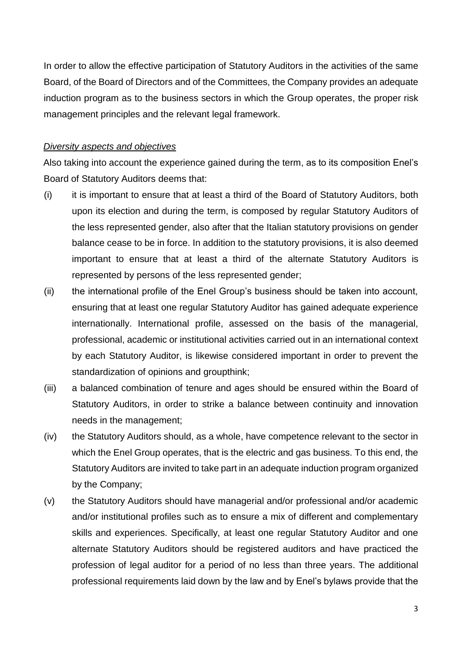In order to allow the effective participation of Statutory Auditors in the activities of the same Board, of the Board of Directors and of the Committees, the Company provides an adequate induction program as to the business sectors in which the Group operates, the proper risk management principles and the relevant legal framework.

#### *Diversity aspects and objectives*

Also taking into account the experience gained during the term, as to its composition Enel's Board of Statutory Auditors deems that:

- (i) it is important to ensure that at least a third of the Board of Statutory Auditors, both upon its election and during the term, is composed by regular Statutory Auditors of the less represented gender, also after that the Italian statutory provisions on gender balance cease to be in force. In addition to the statutory provisions, it is also deemed important to ensure that at least a third of the alternate Statutory Auditors is represented by persons of the less represented gender;
- (ii) the international profile of the Enel Group's business should be taken into account, ensuring that at least one regular Statutory Auditor has gained adequate experience internationally. International profile, assessed on the basis of the managerial, professional, academic or institutional activities carried out in an international context by each Statutory Auditor, is likewise considered important in order to prevent the standardization of opinions and groupthink;
- (iii) a balanced combination of tenure and ages should be ensured within the Board of Statutory Auditors, in order to strike a balance between continuity and innovation needs in the management;
- (iv) the Statutory Auditors should, as a whole, have competence relevant to the sector in which the Enel Group operates, that is the electric and gas business. To this end, the Statutory Auditors are invited to take part in an adequate induction program organized by the Company;
- (v) the Statutory Auditors should have managerial and/or professional and/or academic and/or institutional profiles such as to ensure a mix of different and complementary skills and experiences. Specifically, at least one regular Statutory Auditor and one alternate Statutory Auditors should be registered auditors and have practiced the profession of legal auditor for a period of no less than three years. The additional professional requirements laid down by the law and by Enel's bylaws provide that the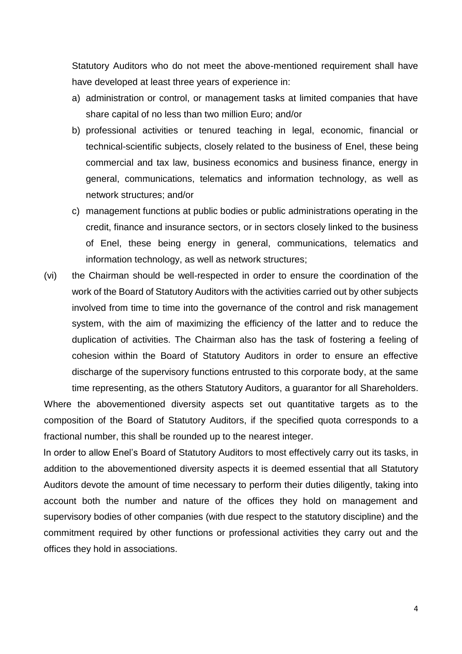Statutory Auditors who do not meet the above-mentioned requirement shall have have developed at least three years of experience in:

- a) administration or control, or management tasks at limited companies that have share capital of no less than two million Euro; and/or
- b) professional activities or tenured teaching in legal, economic, financial or technical-scientific subjects, closely related to the business of Enel, these being commercial and tax law, business economics and business finance, energy in general, communications, telematics and information technology, as well as network structures; and/or
- c) management functions at public bodies or public administrations operating in the credit, finance and insurance sectors, or in sectors closely linked to the business of Enel, these being energy in general, communications, telematics and information technology, as well as network structures;
- (vi) the Chairman should be well-respected in order to ensure the coordination of the work of the Board of Statutory Auditors with the activities carried out by other subjects involved from time to time into the governance of the control and risk management system, with the aim of maximizing the efficiency of the latter and to reduce the duplication of activities. The Chairman also has the task of fostering a feeling of cohesion within the Board of Statutory Auditors in order to ensure an effective discharge of the supervisory functions entrusted to this corporate body, at the same time representing, as the others Statutory Auditors, a guarantor for all Shareholders.

Where the abovementioned diversity aspects set out quantitative targets as to the composition of the Board of Statutory Auditors, if the specified quota corresponds to a fractional number, this shall be rounded up to the nearest integer.

In order to allow Enel's Board of Statutory Auditors to most effectively carry out its tasks, in addition to the abovementioned diversity aspects it is deemed essential that all Statutory Auditors devote the amount of time necessary to perform their duties diligently, taking into account both the number and nature of the offices they hold on management and supervisory bodies of other companies (with due respect to the statutory discipline) and the commitment required by other functions or professional activities they carry out and the offices they hold in associations.